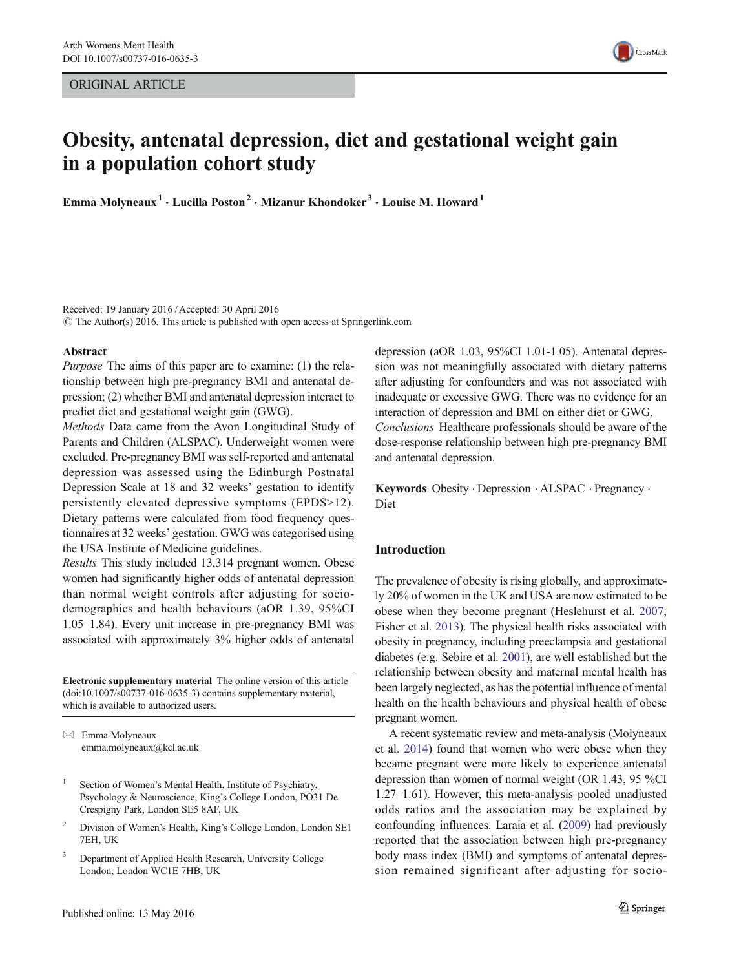ORIGINAL ARTICLE



# Obesity, antenatal depression, diet and gestational weight gain in a population cohort study

Emma Molyneaux<sup>1</sup> · Lucilla Poston<sup>2</sup> · Mizanur Khondoker<sup>3</sup> · Louise M. Howard<sup>1</sup>

Received: 19 January 2016 /Accepted: 30 April 2016  $\odot$  The Author(s) 2016. This article is published with open access at Springerlink.com

#### Abstract

Purpose The aims of this paper are to examine: (1) the relationship between high pre-pregnancy BMI and antenatal depression; (2) whether BMI and antenatal depression interact to predict diet and gestational weight gain (GWG).

Methods Data came from the Avon Longitudinal Study of Parents and Children (ALSPAC). Underweight women were excluded. Pre-pregnancy BMI was self-reported and antenatal depression was assessed using the Edinburgh Postnatal Depression Scale at 18 and 32 weeks' gestation to identify persistently elevated depressive symptoms (EPDS>12). Dietary patterns were calculated from food frequency questionnaires at 32 weeks' gestation. GWG was categorised using the USA Institute of Medicine guidelines.

Results This study included 13,314 pregnant women. Obese women had significantly higher odds of antenatal depression than normal weight controls after adjusting for sociodemographics and health behaviours (aOR 1.39, 95%CI 1.05–1.84). Every unit increase in pre-pregnancy BMI was associated with approximately 3% higher odds of antenatal

Electronic supplementary material The online version of this article (doi[:10.1007/s00737-016-0635-3](http://dx.doi.org/10.1007/s00737-016-0635-3)) contains supplementary material, which is available to authorized users.

 $\boxtimes$  Emma Molyneaux emma.molyneaux@kcl.ac.uk

- <sup>1</sup> Section of Women's Mental Health, Institute of Psychiatry, Psychology & Neuroscience, King's College London, PO31 De Crespigny Park, London SE5 8AF, UK
- <sup>2</sup> Division of Women's Health, King's College London, London SE1 7EH, UK
- <sup>3</sup> Department of Applied Health Research, University College London, London WC1E 7HB, UK

depression (aOR 1.03, 95%CI 1.01-1.05). Antenatal depression was not meaningfully associated with dietary patterns after adjusting for confounders and was not associated with inadequate or excessive GWG. There was no evidence for an interaction of depression and BMI on either diet or GWG. Conclusions Healthcare professionals should be aware of the dose-response relationship between high pre-pregnancy BMI and antenatal depression.

Keywords Obesity . Depression . ALSPAC . Pregnancy . Diet

# Introduction

The prevalence of obesity is rising globally, and approximately 20% of women in the UK and USA are now estimated to be obese when they become pregnant (Heslehurst et al. [2007;](#page-8-0) Fisher et al. [2013\)](#page-7-0). The physical health risks associated with obesity in pregnancy, including preeclampsia and gestational diabetes (e.g. Sebire et al. [2001](#page-8-0)), are well established but the relationship between obesity and maternal mental health has been largely neglected, as has the potential influence of mental health on the health behaviours and physical health of obese pregnant women.

A recent systematic review and meta-analysis (Molyneaux et al. [2014](#page-8-0)) found that women who were obese when they became pregnant were more likely to experience antenatal depression than women of normal weight (OR 1.43, 95 %CI 1.27–1.61). However, this meta-analysis pooled unadjusted odds ratios and the association may be explained by confounding influences. Laraia et al. [\(2009\)](#page-8-0) had previously reported that the association between high pre-pregnancy body mass index (BMI) and symptoms of antenatal depression remained significant after adjusting for socio-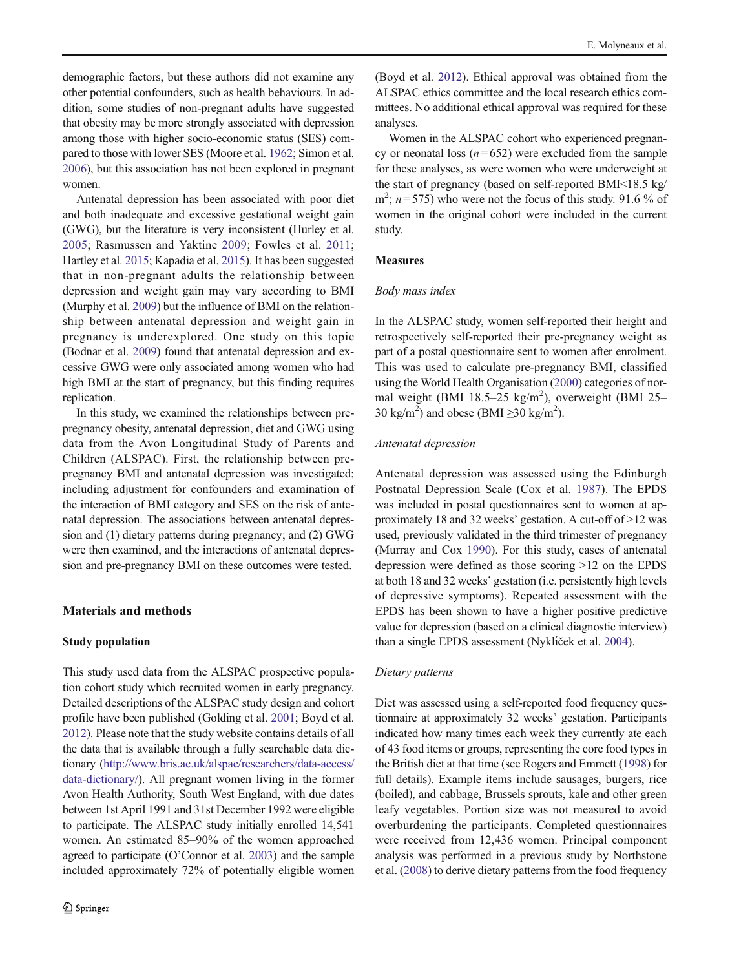demographic factors, but these authors did not examine any other potential confounders, such as health behaviours. In addition, some studies of non-pregnant adults have suggested that obesity may be more strongly associated with depression among those with higher socio-economic status (SES) compared to those with lower SES (Moore et al. [1962;](#page-8-0) Simon et al. [2006\)](#page-8-0), but this association has not been explored in pregnant women.

Antenatal depression has been associated with poor diet and both inadequate and excessive gestational weight gain (GWG), but the literature is very inconsistent (Hurley et al. [2005](#page-8-0); Rasmussen and Yaktine [2009;](#page-8-0) Fowles et al. [2011](#page-7-0); Hartley et al. [2015;](#page-8-0) Kapadia et al. [2015](#page-8-0)). It has been suggested that in non-pregnant adults the relationship between depression and weight gain may vary according to BMI (Murphy et al. [2009\)](#page-8-0) but the influence of BMI on the relationship between antenatal depression and weight gain in pregnancy is underexplored. One study on this topic (Bodnar et al. [2009\)](#page-7-0) found that antenatal depression and excessive GWG were only associated among women who had high BMI at the start of pregnancy, but this finding requires replication.

In this study, we examined the relationships between prepregnancy obesity, antenatal depression, diet and GWG using data from the Avon Longitudinal Study of Parents and Children (ALSPAC). First, the relationship between prepregnancy BMI and antenatal depression was investigated; including adjustment for confounders and examination of the interaction of BMI category and SES on the risk of antenatal depression. The associations between antenatal depression and (1) dietary patterns during pregnancy; and (2) GWG were then examined, and the interactions of antenatal depression and pre-pregnancy BMI on these outcomes were tested.

## Materials and methods

#### Study population

This study used data from the ALSPAC prospective population cohort study which recruited women in early pregnancy. Detailed descriptions of the ALSPAC study design and cohort profile have been published (Golding et al. [2001;](#page-8-0) Boyd et al. [2012\)](#page-7-0). Please note that the study website contains details of all the data that is available through a fully searchable data dictionary [\(http://www.bris.ac.uk/alspac/researchers/data-access/](http://www.bris.ac.uk/alspac/researchers/data-access/data-dictionary/) [data-dictionary/\)](http://www.bris.ac.uk/alspac/researchers/data-access/data-dictionary/). All pregnant women living in the former Avon Health Authority, South West England, with due dates between 1st April 1991 and 31st December 1992 were eligible to participate. The ALSPAC study initially enrolled 14,541 women. An estimated 85–90% of the women approached agreed to participate (O'Connor et al. [2003\)](#page-8-0) and the sample included approximately 72% of potentially eligible women (Boyd et al. [2012](#page-7-0)). Ethical approval was obtained from the ALSPAC ethics committee and the local research ethics committees. No additional ethical approval was required for these analyses.

Women in the ALSPAC cohort who experienced pregnancy or neonatal loss ( $n=652$ ) were excluded from the sample for these analyses, as were women who were underweight at the start of pregnancy (based on self-reported BMI<18.5 kg/  $m^2$ ;  $n = 575$ ) who were not the focus of this study. 91.6 % of women in the original cohort were included in the current study.

# Measures

#### Body mass index

In the ALSPAC study, women self-reported their height and retrospectively self-reported their pre-pregnancy weight as part of a postal questionnaire sent to women after enrolment. This was used to calculate pre-pregnancy BMI, classified using the World Health Organisation [\(2000\)](#page-8-0) categories of normal weight (BMI 18.5-25  $\text{kg/m}^2$ ), overweight (BMI 25-30 kg/m<sup>2</sup>) and obese (BMI  $\geq$ 30 kg/m<sup>2</sup>).

#### Antenatal depression

Antenatal depression was assessed using the Edinburgh Postnatal Depression Scale (Cox et al. [1987\)](#page-7-0). The EPDS was included in postal questionnaires sent to women at approximately 18 and 32 weeks' gestation. A cut-off of >12 was used, previously validated in the third trimester of pregnancy (Murray and Cox [1990\)](#page-8-0). For this study, cases of antenatal depression were defined as those scoring >12 on the EPDS at both 18 and 32 weeks' gestation (i.e. persistently high levels of depressive symptoms). Repeated assessment with the EPDS has been shown to have a higher positive predictive value for depression (based on a clinical diagnostic interview) than a single EPDS assessment (Nyklíček et al. [2004\)](#page-8-0).

#### Dietary patterns

Diet was assessed using a self-reported food frequency questionnaire at approximately 32 weeks' gestation. Participants indicated how many times each week they currently ate each of 43 food items or groups, representing the core food types in the British diet at that time (see Rogers and Emmett [\(1998\)](#page-8-0) for full details). Example items include sausages, burgers, rice (boiled), and cabbage, Brussels sprouts, kale and other green leafy vegetables. Portion size was not measured to avoid overburdening the participants. Completed questionnaires were received from 12,436 women. Principal component analysis was performed in a previous study by Northstone et al. [\(2008](#page-8-0)) to derive dietary patterns from the food frequency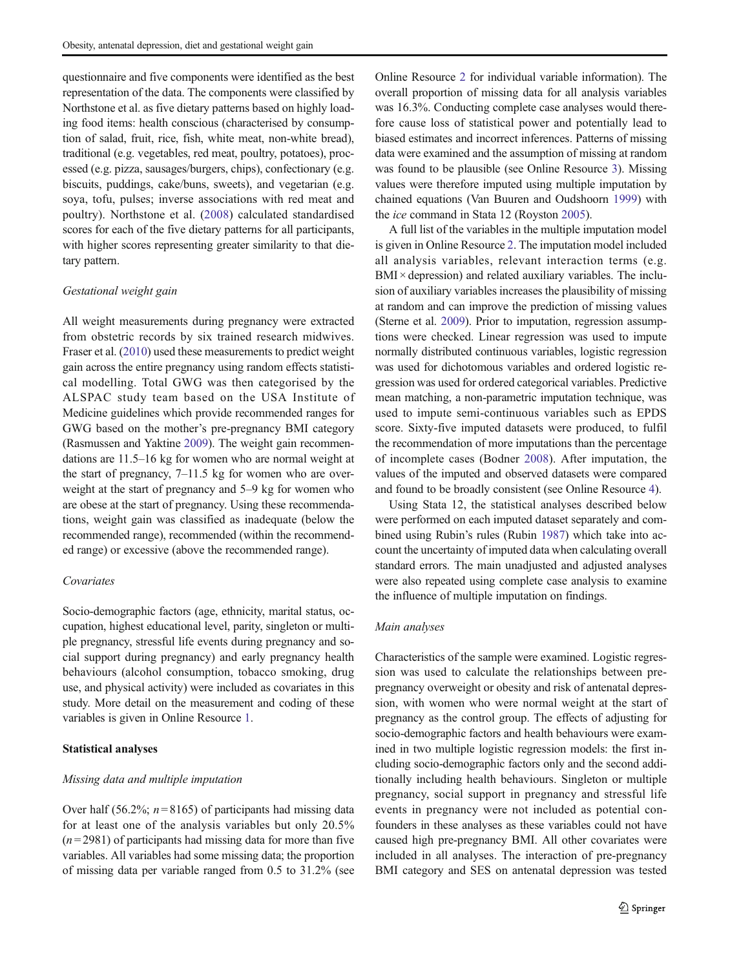questionnaire and five components were identified as the best representation of the data. The components were classified by Northstone et al. as five dietary patterns based on highly loading food items: health conscious (characterised by consumption of salad, fruit, rice, fish, white meat, non-white bread), traditional (e.g. vegetables, red meat, poultry, potatoes), processed (e.g. pizza, sausages/burgers, chips), confectionary (e.g. biscuits, puddings, cake/buns, sweets), and vegetarian (e.g. soya, tofu, pulses; inverse associations with red meat and poultry). Northstone et al. ([2008](#page-8-0)) calculated standardised scores for each of the five dietary patterns for all participants, with higher scores representing greater similarity to that dietary pattern.

#### Gestational weight gain

All weight measurements during pregnancy were extracted from obstetric records by six trained research midwives. Fraser et al. ([2010](#page-7-0)) used these measurements to predict weight gain across the entire pregnancy using random effects statistical modelling. Total GWG was then categorised by the ALSPAC study team based on the USA Institute of Medicine guidelines which provide recommended ranges for GWG based on the mother's pre-pregnancy BMI category (Rasmussen and Yaktine [2009\)](#page-8-0). The weight gain recommendations are 11.5–16 kg for women who are normal weight at the start of pregnancy, 7–11.5 kg for women who are overweight at the start of pregnancy and 5–9 kg for women who are obese at the start of pregnancy. Using these recommendations, weight gain was classified as inadequate (below the recommended range), recommended (within the recommended range) or excessive (above the recommended range).

## Covariates

Socio-demographic factors (age, ethnicity, marital status, occupation, highest educational level, parity, singleton or multiple pregnancy, stressful life events during pregnancy and social support during pregnancy) and early pregnancy health behaviours (alcohol consumption, tobacco smoking, drug use, and physical activity) were included as covariates in this study. More detail on the measurement and coding of these variables is given in Online Resource 1.

#### Statistical analyses

#### Missing data and multiple imputation

Over half (56.2%;  $n = 8165$ ) of participants had missing data for at least one of the analysis variables but only 20.5%  $(n=2981)$  of participants had missing data for more than five variables. All variables had some missing data; the proportion of missing data per variable ranged from 0.5 to 31.2% (see Online Resource 2 for individual variable information). The overall proportion of missing data for all analysis variables was 16.3%. Conducting complete case analyses would therefore cause loss of statistical power and potentially lead to biased estimates and incorrect inferences. Patterns of missing data were examined and the assumption of missing at random was found to be plausible (see Online Resource 3). Missing values were therefore imputed using multiple imputation by chained equations (Van Buuren and Oudshoorn [1999](#page-8-0)) with the ice command in Stata 12 (Royston [2005\)](#page-8-0).

A full list of the variables in the multiple imputation model is given in Online Resource 2. The imputation model included all analysis variables, relevant interaction terms (e.g.  $BMI \times depression$ ) and related auxiliary variables. The inclusion of auxiliary variables increases the plausibility of missing at random and can improve the prediction of missing values (Sterne et al. [2009](#page-8-0)). Prior to imputation, regression assumptions were checked. Linear regression was used to impute normally distributed continuous variables, logistic regression was used for dichotomous variables and ordered logistic regression was used for ordered categorical variables. Predictive mean matching, a non-parametric imputation technique, was used to impute semi-continuous variables such as EPDS score. Sixty-five imputed datasets were produced, to fulfil the recommendation of more imputations than the percentage of incomplete cases (Bodner [2008](#page-7-0)). After imputation, the values of the imputed and observed datasets were compared and found to be broadly consistent (see Online Resource 4).

Using Stata 12, the statistical analyses described below were performed on each imputed dataset separately and combined using Rubin's rules (Rubin [1987\)](#page-8-0) which take into account the uncertainty of imputed data when calculating overall standard errors. The main unadjusted and adjusted analyses were also repeated using complete case analysis to examine the influence of multiple imputation on findings.

## Main analyses

Characteristics of the sample were examined. Logistic regression was used to calculate the relationships between prepregnancy overweight or obesity and risk of antenatal depression, with women who were normal weight at the start of pregnancy as the control group. The effects of adjusting for socio-demographic factors and health behaviours were examined in two multiple logistic regression models: the first including socio-demographic factors only and the second additionally including health behaviours. Singleton or multiple pregnancy, social support in pregnancy and stressful life events in pregnancy were not included as potential confounders in these analyses as these variables could not have caused high pre-pregnancy BMI. All other covariates were included in all analyses. The interaction of pre-pregnancy BMI category and SES on antenatal depression was tested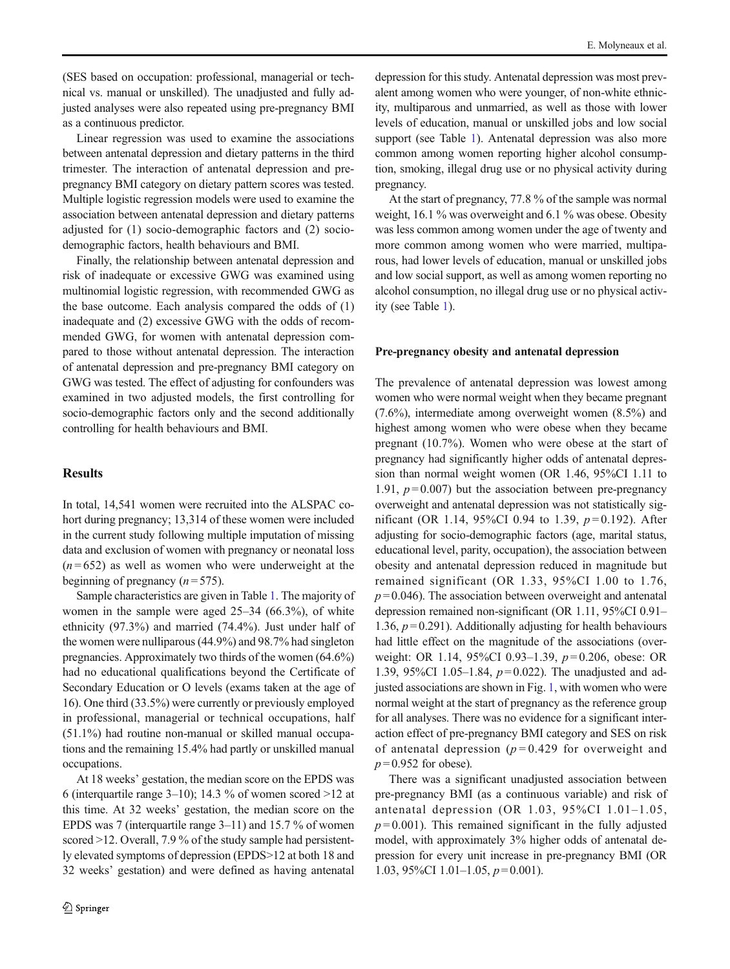(SES based on occupation: professional, managerial or technical vs. manual or unskilled). The unadjusted and fully adjusted analyses were also repeated using pre-pregnancy BMI as a continuous predictor.

Linear regression was used to examine the associations between antenatal depression and dietary patterns in the third trimester. The interaction of antenatal depression and prepregnancy BMI category on dietary pattern scores was tested. Multiple logistic regression models were used to examine the association between antenatal depression and dietary patterns adjusted for (1) socio-demographic factors and (2) sociodemographic factors, health behaviours and BMI.

Finally, the relationship between antenatal depression and risk of inadequate or excessive GWG was examined using multinomial logistic regression, with recommended GWG as the base outcome. Each analysis compared the odds of (1) inadequate and (2) excessive GWG with the odds of recommended GWG, for women with antenatal depression compared to those without antenatal depression. The interaction of antenatal depression and pre-pregnancy BMI category on GWG was tested. The effect of adjusting for confounders was examined in two adjusted models, the first controlling for socio-demographic factors only and the second additionally controlling for health behaviours and BMI.

# **Results**

In total, 14,541 women were recruited into the ALSPAC cohort during pregnancy; 13,314 of these women were included in the current study following multiple imputation of missing data and exclusion of women with pregnancy or neonatal loss  $(n=652)$  as well as women who were underweight at the beginning of pregnancy  $(n=575)$ .

Sample characteristics are given in Table [1.](#page-4-0) The majority of women in the sample were aged 25–34 (66.3%), of white ethnicity (97.3%) and married (74.4%). Just under half of the women were nulliparous (44.9%) and 98.7% had singleton pregnancies. Approximately two thirds of the women (64.6%) had no educational qualifications beyond the Certificate of Secondary Education or O levels (exams taken at the age of 16). One third (33.5%) were currently or previously employed in professional, managerial or technical occupations, half (51.1%) had routine non-manual or skilled manual occupations and the remaining 15.4% had partly or unskilled manual occupations.

At 18 weeks' gestation, the median score on the EPDS was 6 (interquartile range  $3-10$ ); 14.3 % of women scored >12 at this time. At 32 weeks' gestation, the median score on the EPDS was 7 (interquartile range 3–11) and 15.7 % of women scored >12. Overall, 7.9 % of the study sample had persistently elevated symptoms of depression (EPDS>12 at both 18 and 32 weeks' gestation) and were defined as having antenatal

depression for this study. Antenatal depression was most prevalent among women who were younger, of non-white ethnicity, multiparous and unmarried, as well as those with lower levels of education, manual or unskilled jobs and low social support (see Table [1\)](#page-4-0). Antenatal depression was also more common among women reporting higher alcohol consumption, smoking, illegal drug use or no physical activity during pregnancy.

At the start of pregnancy, 77.8 % of the sample was normal weight, 16.1 % was overweight and 6.1 % was obese. Obesity was less common among women under the age of twenty and more common among women who were married, multiparous, had lower levels of education, manual or unskilled jobs and low social support, as well as among women reporting no alcohol consumption, no illegal drug use or no physical activity (see Table [1\)](#page-4-0).

## Pre-pregnancy obesity and antenatal depression

The prevalence of antenatal depression was lowest among women who were normal weight when they became pregnant (7.6%), intermediate among overweight women (8.5%) and highest among women who were obese when they became pregnant (10.7%). Women who were obese at the start of pregnancy had significantly higher odds of antenatal depression than normal weight women (OR 1.46, 95%CI 1.11 to 1.91,  $p = 0.007$ ) but the association between pre-pregnancy overweight and antenatal depression was not statistically significant (OR 1.14, 95%CI 0.94 to 1.39,  $p=0.192$ ). After adjusting for socio-demographic factors (age, marital status, educational level, parity, occupation), the association between obesity and antenatal depression reduced in magnitude but remained significant (OR 1.33, 95%CI 1.00 to 1.76,  $p = 0.046$ ). The association between overweight and antenatal depression remained non-significant (OR 1.11, 95%CI 0.91– 1.36,  $p = 0.291$ ). Additionally adjusting for health behaviours had little effect on the magnitude of the associations (overweight: OR 1.14, 95%CI 0.93–1.39,  $p=0.206$ , obese: OR 1.39, 95%CI 1.05–1.84,  $p=0.022$ ). The unadjusted and ad-justed associations are shown in Fig. [1](#page-5-0), with women who were normal weight at the start of pregnancy as the reference group for all analyses. There was no evidence for a significant interaction effect of pre-pregnancy BMI category and SES on risk of antenatal depression  $(p=0.429)$  for overweight and  $p = 0.952$  for obese).

There was a significant unadjusted association between pre-pregnancy BMI (as a continuous variable) and risk of antenatal depression (OR 1.03, 95%CI 1.01–1.05,  $p=0.001$ ). This remained significant in the fully adjusted model, with approximately 3% higher odds of antenatal depression for every unit increase in pre-pregnancy BMI (OR 1.03, 95%CI 1.01-1.05,  $p=0.001$ ).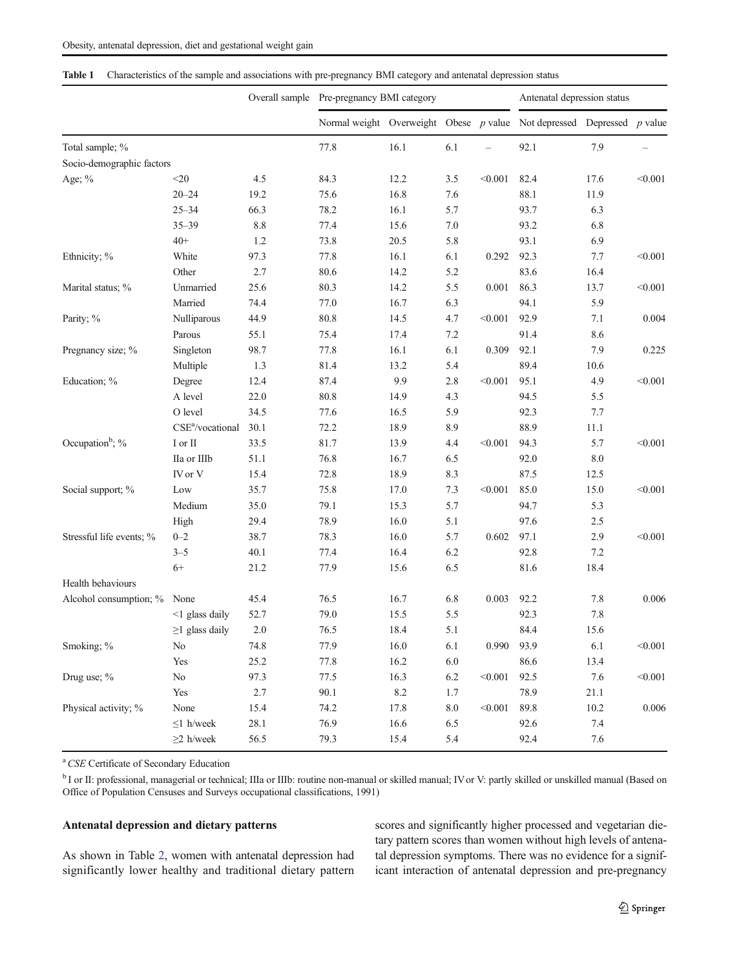<span id="page-4-0"></span>

|                             |                              |      | Overall sample Pre-pregnancy BMI category                                  |         |         |                   | Antenatal depression status |      |           |
|-----------------------------|------------------------------|------|----------------------------------------------------------------------------|---------|---------|-------------------|-----------------------------|------|-----------|
|                             |                              |      | Normal weight Overweight Obese $p$ value Not depressed Depressed $p$ value |         |         |                   |                             |      |           |
| Total sample; %             |                              |      | 77.8                                                                       | 16.1    | 6.1     | $\qquad \qquad -$ | 92.1                        | 7.9  |           |
| Socio-demographic factors   |                              |      |                                                                            |         |         |                   |                             |      |           |
| Age; %                      | $<$ 20                       | 4.5  | 84.3                                                                       | 12.2    | 3.5     | < 0.001           | 82.4                        | 17.6 | < 0.001   |
|                             | $20 - 24$                    | 19.2 | 75.6                                                                       | 16.8    | 7.6     |                   | 88.1                        | 11.9 |           |
|                             | $25 - 34$                    | 66.3 | 78.2                                                                       | 16.1    | 5.7     |                   | 93.7                        | 6.3  |           |
|                             | $35 - 39$                    | 8.8  | 77.4                                                                       | 15.6    | $7.0\,$ |                   | 93.2                        | 6.8  |           |
|                             | $40+$                        | 1.2  | 73.8                                                                       | 20.5    | 5.8     |                   | 93.1                        | 6.9  |           |
| Ethnicity; %                | White                        | 97.3 | 77.8                                                                       | 16.1    | 6.1     | 0.292             | 92.3                        | 7.7  | < 0.001   |
|                             | Other                        | 2.7  | 80.6                                                                       | 14.2    | 5.2     |                   | 83.6                        | 16.4 |           |
| Marital status; %           | Unmarried                    | 25.6 | 80.3                                                                       | 14.2    | 5.5     | 0.001             | 86.3                        | 13.7 | < 0.001   |
|                             | Married                      | 74.4 | 77.0                                                                       | 16.7    | 6.3     |                   | 94.1                        | 5.9  |           |
| Parity; %                   | Nulliparous                  | 44.9 | 80.8                                                                       | 14.5    | 4.7     | < 0.001           | 92.9                        | 7.1  | 0.004     |
|                             | Parous                       | 55.1 | 75.4                                                                       | 17.4    | 7.2     |                   | 91.4                        | 8.6  |           |
| Pregnancy size; %           | Singleton                    | 98.7 | 77.8                                                                       | 16.1    | 6.1     | 0.309             | 92.1                        | 7.9  | 0.225     |
|                             | Multiple                     | 1.3  | 81.4                                                                       | 13.2    | 5.4     |                   | 89.4                        | 10.6 |           |
| Education; %                | Degree                       | 12.4 | 87.4                                                                       | 9.9     | 2.8     | < 0.001           | 95.1                        | 4.9  | < 0.001   |
|                             | A level                      | 22.0 | 80.8                                                                       | 14.9    | 4.3     |                   | 94.5                        | 5.5  |           |
|                             | O level                      | 34.5 | 77.6                                                                       | 16.5    | 5.9     |                   | 92.3                        | 7.7  |           |
|                             | CSE <sup>a</sup> /vocational | 30.1 | 72.2                                                                       | 18.9    | 8.9     |                   | 88.9                        | 11.1 |           |
| Occupation <sup>b</sup> ; % | I or II                      | 33.5 | 81.7                                                                       | 13.9    | 4.4     | < 0.001           | 94.3                        | 5.7  | < 0.001   |
|                             | IIa or IIIb                  | 51.1 | 76.8                                                                       | 16.7    | 6.5     |                   | 92.0                        | 8.0  |           |
|                             | IV or V                      | 15.4 | 72.8                                                                       | 18.9    | 8.3     |                   | 87.5                        | 12.5 |           |
| Social support; %           | Low                          | 35.7 | 75.8                                                                       | 17.0    | 7.3     | < 0.001           | 85.0                        | 15.0 | < 0.001   |
|                             | Medium                       | 35.0 | 79.1                                                                       | 15.3    | 5.7     |                   | 94.7                        | 5.3  |           |
|                             | High                         | 29.4 | 78.9                                                                       | 16.0    | 5.1     |                   | 97.6                        | 2.5  |           |
| Stressful life events; %    | $0 - 2$                      | 38.7 | 78.3                                                                       | 16.0    | 5.7     | 0.602             | 97.1                        | 2.9  | < 0.001   |
|                             | $3 - 5$                      | 40.1 | 77.4                                                                       | 16.4    | 6.2     |                   | 92.8                        | 7.2  |           |
|                             | $6+$                         | 21.2 | 77.9                                                                       | 15.6    | 6.5     |                   | 81.6                        | 18.4 |           |
| Health behaviours           |                              |      |                                                                            |         |         |                   |                             |      |           |
| Alcohol consumption; %      | None                         | 45.4 | 76.5                                                                       | 16.7    | 6.8     | 0.003             | 92.2                        | 7.8  | 0.006     |
|                             | <1 glass daily               | 52.7 | 79.0                                                                       | 15.5    | 5.5     |                   | 92.3                        | 7.8  |           |
|                             | $\geq$ 1 glass daily         | 2.0  | 76.5                                                                       | 18.4    | 5.1     |                   | 84.4                        | 15.6 |           |
| Smoking; %                  | No                           | 74.8 | 77.9                                                                       | 16.0    | 6.1     | 0.990             | 93.9                        | 6.1  | < 0.001   |
|                             | Yes                          | 25.2 | 77.8                                                                       | 16.2    | $6.0\,$ |                   | 86.6                        | 13.4 |           |
| Drug use; %                 | N <sub>0</sub>               | 97.3 | 77.5                                                                       | 16.3    | 6.2     | < 0.001           | 92.5                        | 7.6  | < 0.001   |
|                             | Yes                          | 2.7  | 90.1                                                                       | $8.2\,$ | 1.7     |                   | 78.9                        | 21.1 |           |
| Physical activity; %        | None                         | 15.4 | 74.2                                                                       | 17.8    | 8.0     | < 0.001           | 89.8                        | 10.2 | $0.006\,$ |
|                             | $\leq$ 1 h/week              | 28.1 | 76.9                                                                       | 16.6    | 6.5     |                   | 92.6                        | 7.4  |           |
|                             | $\geq$ 2 h/week              | 56.5 | 79.3                                                                       | 15.4    | 5.4     |                   | 92.4                        | 7.6  |           |

<sup>a</sup> CSE Certificate of Secondary Education

<sup>b</sup> I or II: professional, managerial or technical; IIIa or IIIb: routine non-manual or skilled manual; IV or V: partly skilled or unskilled manual (Based on Office of Population Censuses and Surveys occupational classifications, 1991)

# Antenatal depression and dietary patterns

As shown in Table [2](#page-5-0), women with antenatal depression had significantly lower healthy and traditional dietary pattern scores and significantly higher processed and vegetarian dietary pattern scores than women without high levels of antenatal depression symptoms. There was no evidence for a significant interaction of antenatal depression and pre-pregnancy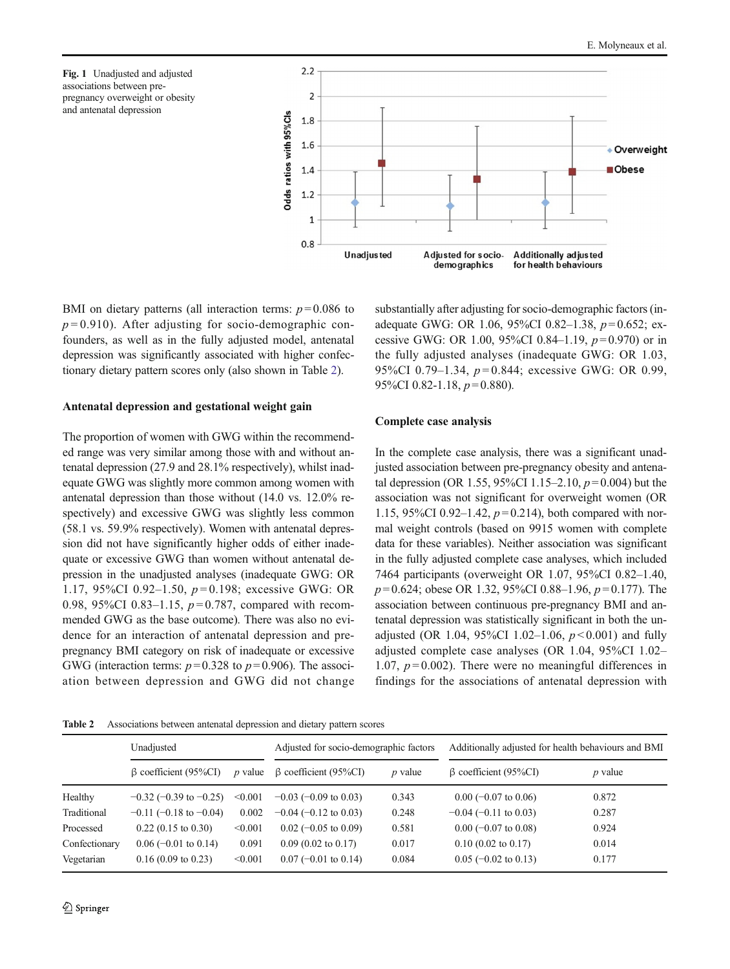<span id="page-5-0"></span>



BMI on dietary patterns (all interaction terms:  $p = 0.086$  to  $p=0.910$ ). After adjusting for socio-demographic confounders, as well as in the fully adjusted model, antenatal depression was significantly associated with higher confectionary dietary pattern scores only (also shown in Table 2).

## Antenatal depression and gestational weight gain

The proportion of women with GWG within the recommended range was very similar among those with and without antenatal depression (27.9 and 28.1% respectively), whilst inadequate GWG was slightly more common among women with antenatal depression than those without (14.0 vs. 12.0% respectively) and excessive GWG was slightly less common (58.1 vs. 59.9% respectively). Women with antenatal depression did not have significantly higher odds of either inadequate or excessive GWG than women without antenatal depression in the unadjusted analyses (inadequate GWG: OR 1.17, 95%CI 0.92–1.50,  $p=0.198$ ; excessive GWG: OR 0.98, 95%CI 0.83–1.15,  $p=0.787$ , compared with recommended GWG as the base outcome). There was also no evidence for an interaction of antenatal depression and prepregnancy BMI category on risk of inadequate or excessive GWG (interaction terms:  $p=0.328$  to  $p=0.906$ ). The associ-ation between depression and GWG did not change substantially after adjusting for socio-demographic factors (inadequate GWG: OR 1.06, 95%CI 0.82–1.38,  $p=0.652$ ; excessive GWG: OR 1.00, 95%CI 0.84–1.19,  $p=0.970$ ) or in the fully adjusted analyses (inadequate GWG: OR 1.03, 95%CI 0.79–1.34,  $p=0.844$ ; excessive GWG: OR 0.99, 95%CI 0.82-1.18,  $p = 0.880$ ).

#### Complete case analysis

In the complete case analysis, there was a significant unadjusted association between pre-pregnancy obesity and antenatal depression (OR 1.55, 95%CI 1.15–2.10,  $p = 0.004$ ) but the association was not significant for overweight women (OR 1.15, 95%CI 0.92–1.42,  $p=0.214$ ), both compared with normal weight controls (based on 9915 women with complete data for these variables). Neither association was significant in the fully adjusted complete case analyses, which included 7464 participants (overweight OR 1.07, 95%CI 0.82–1.40,  $p=0.624$ ; obese OR 1.32, 95%CI 0.88–1.96,  $p=0.177$ ). The association between continuous pre-pregnancy BMI and antenatal depression was statistically significant in both the unadjusted (OR 1.04, 95%CI 1.02–1.06,  $p < 0.001$ ) and fully adjusted complete case analyses (OR 1.04, 95%CI 1.02– 1.07,  $p = 0.002$ ). There were no meaningful differences in findings for the associations of antenatal depression with

Table 2 Associations between antenatal depression and dietary pattern scores

|               | Unadjusted                    |                | Adjusted for socio-demographic factors |                | Additionally adjusted for health behaviours and BMI |           |  |
|---------------|-------------------------------|----------------|----------------------------------------|----------------|-----------------------------------------------------|-----------|--|
|               | $\beta$ coefficient (95%CI)   | <i>p</i> value | $\beta$ coefficient (95%CI)            | <i>p</i> value | $\beta$ coefficient (95%CI)                         | $p$ value |  |
| Healthy       | $-0.32$ (-0.39 to -0.25)      | < 0.001        | $-0.03$ ( $-0.09$ to 0.03)             | 0.343          | $0.00$ (-0.07 to 0.06)                              | 0.872     |  |
| Traditional   | $-0.11$ (-0.18 to -0.04)      | 0.002          | $-0.04$ ( $-0.12$ to 0.03)             | 0.248          | $-0.04$ ( $-0.11$ to 0.03)                          | 0.287     |  |
| Processed     | $0.22$ (0.15 to 0.30)         | < 0.001        | $0.02$ (-0.05 to 0.09)                 | 0.581          | $0.00$ (-0.07 to 0.08)                              | 0.924     |  |
| Confectionary | $0.06$ (-0.01 to 0.14)        | 0.091          | $0.09$ (0.02 to 0.17)                  | 0.017          | $0.10$ (0.02 to 0.17)                               | 0.014     |  |
| Vegetarian    | $0.16(0.09 \text{ to } 0.23)$ | < 0.001        | $0.07$ (-0.01 to 0.14)                 | 0.084          | $0.05$ (-0.02 to 0.13)                              | 0.177     |  |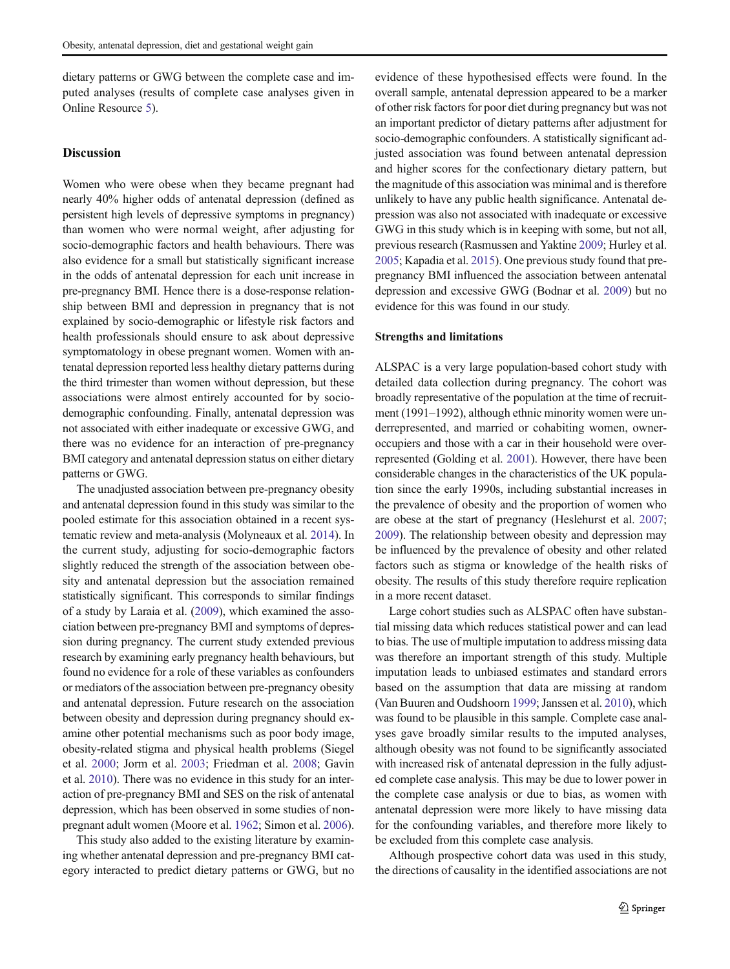dietary patterns or GWG between the complete case and imputed analyses (results of complete case analyses given in Online Resource 5).

## Discussion

Women who were obese when they became pregnant had nearly 40% higher odds of antenatal depression (defined as persistent high levels of depressive symptoms in pregnancy) than women who were normal weight, after adjusting for socio-demographic factors and health behaviours. There was also evidence for a small but statistically significant increase in the odds of antenatal depression for each unit increase in pre-pregnancy BMI. Hence there is a dose-response relationship between BMI and depression in pregnancy that is not explained by socio-demographic or lifestyle risk factors and health professionals should ensure to ask about depressive symptomatology in obese pregnant women. Women with antenatal depression reported less healthy dietary patterns during the third trimester than women without depression, but these associations were almost entirely accounted for by sociodemographic confounding. Finally, antenatal depression was not associated with either inadequate or excessive GWG, and there was no evidence for an interaction of pre-pregnancy BMI category and antenatal depression status on either dietary patterns or GWG.

The unadjusted association between pre-pregnancy obesity and antenatal depression found in this study was similar to the pooled estimate for this association obtained in a recent systematic review and meta-analysis (Molyneaux et al. [2014](#page-8-0)). In the current study, adjusting for socio-demographic factors slightly reduced the strength of the association between obesity and antenatal depression but the association remained statistically significant. This corresponds to similar findings of a study by Laraia et al. ([2009\)](#page-8-0), which examined the association between pre-pregnancy BMI and symptoms of depression during pregnancy. The current study extended previous research by examining early pregnancy health behaviours, but found no evidence for a role of these variables as confounders or mediators of the association between pre-pregnancy obesity and antenatal depression. Future research on the association between obesity and depression during pregnancy should examine other potential mechanisms such as poor body image, obesity-related stigma and physical health problems (Siegel et al. [2000;](#page-8-0) Jorm et al. [2003;](#page-8-0) Friedman et al. [2008;](#page-8-0) Gavin et al. [2010](#page-8-0)). There was no evidence in this study for an interaction of pre-pregnancy BMI and SES on the risk of antenatal depression, which has been observed in some studies of nonpregnant adult women (Moore et al. [1962;](#page-8-0) Simon et al. [2006\)](#page-8-0).

This study also added to the existing literature by examining whether antenatal depression and pre-pregnancy BMI category interacted to predict dietary patterns or GWG, but no evidence of these hypothesised effects were found. In the overall sample, antenatal depression appeared to be a marker of other risk factors for poor diet during pregnancy but was not an important predictor of dietary patterns after adjustment for socio-demographic confounders. A statistically significant adjusted association was found between antenatal depression and higher scores for the confectionary dietary pattern, but the magnitude of this association was minimal and is therefore unlikely to have any public health significance. Antenatal depression was also not associated with inadequate or excessive GWG in this study which is in keeping with some, but not all, previous research (Rasmussen and Yaktine [2009](#page-8-0); Hurley et al. [2005;](#page-8-0) Kapadia et al. [2015\)](#page-8-0). One previous study found that prepregnancy BMI influenced the association between antenatal depression and excessive GWG (Bodnar et al. [2009](#page-7-0)) but no evidence for this was found in our study.

## Strengths and limitations

ALSPAC is a very large population-based cohort study with detailed data collection during pregnancy. The cohort was broadly representative of the population at the time of recruitment (1991–1992), although ethnic minority women were underrepresented, and married or cohabiting women, owneroccupiers and those with a car in their household were overrepresented (Golding et al. [2001](#page-8-0)). However, there have been considerable changes in the characteristics of the UK population since the early 1990s, including substantial increases in the prevalence of obesity and the proportion of women who are obese at the start of pregnancy (Heslehurst et al. [2007;](#page-8-0) [2009\)](#page-8-0). The relationship between obesity and depression may be influenced by the prevalence of obesity and other related factors such as stigma or knowledge of the health risks of obesity. The results of this study therefore require replication in a more recent dataset.

Large cohort studies such as ALSPAC often have substantial missing data which reduces statistical power and can lead to bias. The use of multiple imputation to address missing data was therefore an important strength of this study. Multiple imputation leads to unbiased estimates and standard errors based on the assumption that data are missing at random (Van Buuren and Oudshoorn [1999;](#page-8-0) Janssen et al. [2010\)](#page-8-0), which was found to be plausible in this sample. Complete case analyses gave broadly similar results to the imputed analyses, although obesity was not found to be significantly associated with increased risk of antenatal depression in the fully adjusted complete case analysis. This may be due to lower power in the complete case analysis or due to bias, as women with antenatal depression were more likely to have missing data for the confounding variables, and therefore more likely to be excluded from this complete case analysis.

Although prospective cohort data was used in this study, the directions of causality in the identified associations are not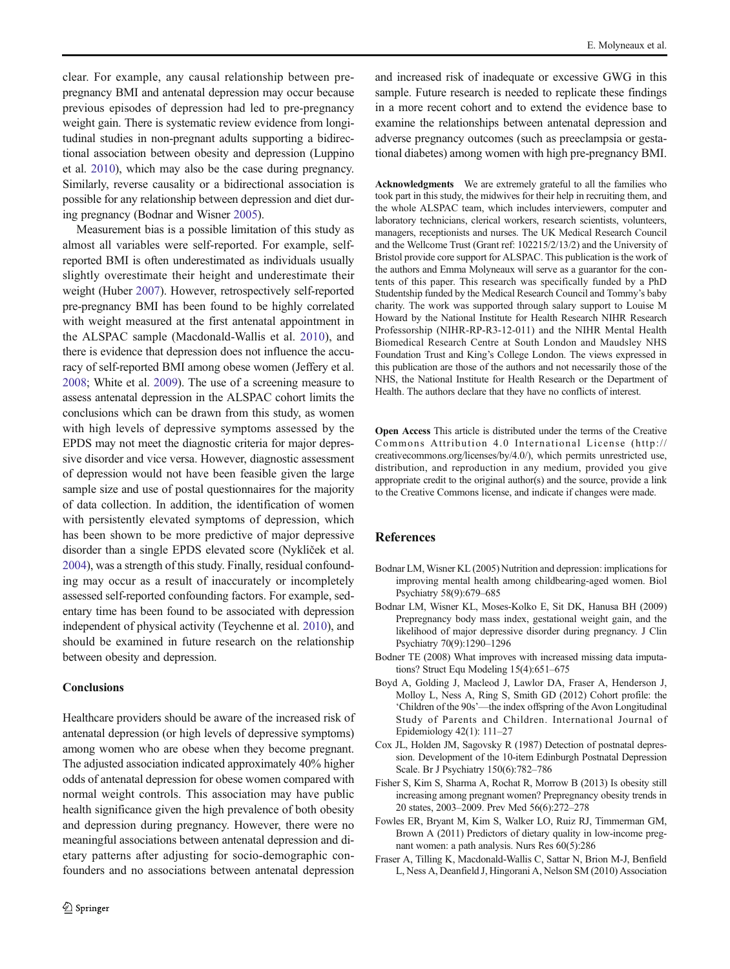<span id="page-7-0"></span>clear. For example, any causal relationship between prepregnancy BMI and antenatal depression may occur because previous episodes of depression had led to pre-pregnancy weight gain. There is systematic review evidence from longitudinal studies in non-pregnant adults supporting a bidirectional association between obesity and depression (Luppino et al. [2010\)](#page-8-0), which may also be the case during pregnancy. Similarly, reverse causality or a bidirectional association is possible for any relationship between depression and diet during pregnancy (Bodnar and Wisner 2005).

Measurement bias is a possible limitation of this study as almost all variables were self-reported. For example, selfreported BMI is often underestimated as individuals usually slightly overestimate their height and underestimate their weight (Huber [2007\)](#page-8-0). However, retrospectively self-reported pre-pregnancy BMI has been found to be highly correlated with weight measured at the first antenatal appointment in the ALSPAC sample (Macdonald-Wallis et al. [2010](#page-8-0)), and there is evidence that depression does not influence the accuracy of self-reported BMI among obese women (Jeffery et al. [2008;](#page-8-0) White et al. [2009\)](#page-8-0). The use of a screening measure to assess antenatal depression in the ALSPAC cohort limits the conclusions which can be drawn from this study, as women with high levels of depressive symptoms assessed by the EPDS may not meet the diagnostic criteria for major depressive disorder and vice versa. However, diagnostic assessment of depression would not have been feasible given the large sample size and use of postal questionnaires for the majority of data collection. In addition, the identification of women with persistently elevated symptoms of depression, which has been shown to be more predictive of major depressive disorder than a single EPDS elevated score (Nyklı́ ček et al. [2004\)](#page-8-0), was a strength of this study. Finally, residual confounding may occur as a result of inaccurately or incompletely assessed self-reported confounding factors. For example, sedentary time has been found to be associated with depression independent of physical activity (Teychenne et al. [2010\)](#page-8-0), and should be examined in future research on the relationship between obesity and depression.

## **Conclusions**

Healthcare providers should be aware of the increased risk of antenatal depression (or high levels of depressive symptoms) among women who are obese when they become pregnant. The adjusted association indicated approximately 40% higher odds of antenatal depression for obese women compared with normal weight controls. This association may have public health significance given the high prevalence of both obesity and depression during pregnancy. However, there were no meaningful associations between antenatal depression and dietary patterns after adjusting for socio-demographic confounders and no associations between antenatal depression

and increased risk of inadequate or excessive GWG in this sample. Future research is needed to replicate these findings in a more recent cohort and to extend the evidence base to examine the relationships between antenatal depression and adverse pregnancy outcomes (such as preeclampsia or gestational diabetes) among women with high pre-pregnancy BMI.

Acknowledgments We are extremely grateful to all the families who took part in this study, the midwives for their help in recruiting them, and the whole ALSPAC team, which includes interviewers, computer and laboratory technicians, clerical workers, research scientists, volunteers, managers, receptionists and nurses. The UK Medical Research Council and the Wellcome Trust (Grant ref: 102215/2/13/2) and the University of Bristol provide core support for ALSPAC. This publication is the work of the authors and Emma Molyneaux will serve as a guarantor for the contents of this paper. This research was specifically funded by a PhD Studentship funded by the Medical Research Council and Tommy's baby charity. The work was supported through salary support to Louise M Howard by the National Institute for Health Research NIHR Research Professorship (NIHR-RP-R3-12-011) and the NIHR Mental Health Biomedical Research Centre at South London and Maudsley NHS Foundation Trust and King's College London. The views expressed in this publication are those of the authors and not necessarily those of the NHS, the National Institute for Health Research or the Department of Health. The authors declare that they have no conflicts of interest.

Open Access This article is distributed under the terms of the Creative Commons Attribution 4.0 International License (http:// creativecommons.org/licenses/by/4.0/), which permits unrestricted use, distribution, and reproduction in any medium, provided you give appropriate credit to the original author(s) and the source, provide a link to the Creative Commons license, and indicate if changes were made.

## References

- Bodnar LM, Wisner KL (2005) Nutrition and depression: implications for improving mental health among childbearing-aged women. Biol Psychiatry 58(9):679–685
- Bodnar LM, Wisner KL, Moses-Kolko E, Sit DK, Hanusa BH (2009) Prepregnancy body mass index, gestational weight gain, and the likelihood of major depressive disorder during pregnancy. J Clin Psychiatry 70(9):1290–1296
- Bodner TE (2008) What improves with increased missing data imputations? Struct Equ Modeling 15(4):651–675
- Boyd A, Golding J, Macleod J, Lawlor DA, Fraser A, Henderson J, Molloy L, Ness A, Ring S, Smith GD (2012) Cohort profile: the 'Children of the 90s'—the index offspring of the Avon Longitudinal Study of Parents and Children. International Journal of Epidemiology 42(1): 111–27
- Cox JL, Holden JM, Sagovsky R (1987) Detection of postnatal depression. Development of the 10-item Edinburgh Postnatal Depression Scale. Br J Psychiatry 150(6):782–786
- Fisher S, Kim S, Sharma A, Rochat R, Morrow B (2013) Is obesity still increasing among pregnant women? Prepregnancy obesity trends in 20 states, 2003–2009. Prev Med 56(6):272–278
- Fowles ER, Bryant M, Kim S, Walker LO, Ruiz RJ, Timmerman GM, Brown A (2011) Predictors of dietary quality in low-income pregnant women: a path analysis. Nurs Res 60(5):286
- Fraser A, Tilling K, Macdonald-Wallis C, Sattar N, Brion M-J, Benfield L, Ness A, Deanfield J, Hingorani A, Nelson SM (2010) Association